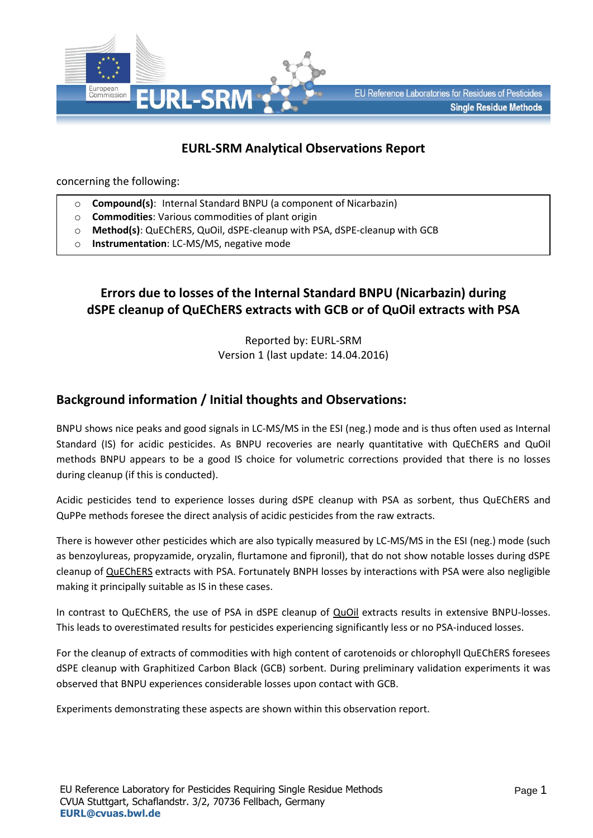

# **EURL-SRM Analytical Observations Report**

concerning the following:

- o **Compound(s)**: Internal Standard BNPU (a component of Nicarbazin)
- o **Commodities**: Various commodities of plant origin
- o **Method(s)**: QuEChERS, QuOil, dSPE-cleanup with PSA, dSPE-cleanup with GCB
- o **Instrumentation**: LC-MS/MS, negative mode

## **Errors due to losses of the Internal Standard BNPU (Nicarbazin) during dSPE cleanup of QuEChERS extracts with GCB or of QuOil extracts with PSA**

Reported by: EURL-SRM Version 1 (last update: 14.04.2016)

### **Background information / Initial thoughts and Observations:**

BNPU shows nice peaks and good signals in LC-MS/MS in the ESI (neg.) mode and is thus often used as Internal Standard (IS) for acidic pesticides. As BNPU recoveries are nearly quantitative with QuEChERS and QuOil methods BNPU appears to be a good IS choice for volumetric corrections provided that there is no losses during cleanup (if this is conducted).

Acidic pesticides tend to experience losses during dSPE cleanup with PSA as sorbent, thus QuEChERS and QuPPe methods foresee the direct analysis of acidic pesticides from the raw extracts.

There is however other pesticides which are also typically measured by LC-MS/MS in the ESI (neg.) mode (such as benzoylureas, propyzamide, oryzalin, flurtamone and fipronil), that do not show notable losses during dSPE cleanup of QuEChERS extracts with PSA. Fortunately BNPH losses by interactions with PSA were also negligible making it principally suitable as IS in these cases.

In contrast to QuEChERS, the use of PSA in dSPE cleanup of **QuOil** extracts results in extensive BNPU-losses. This leads to overestimated results for pesticides experiencing significantly less or no PSA-induced losses.

For the cleanup of extracts of commodities with high content of carotenoids or chlorophyll QuEChERS foresees dSPE cleanup with Graphitized Carbon Black (GCB) sorbent. During preliminary validation experiments it was observed that BNPU experiences considerable losses upon contact with GCB.

Experiments demonstrating these aspects are shown within this observation report.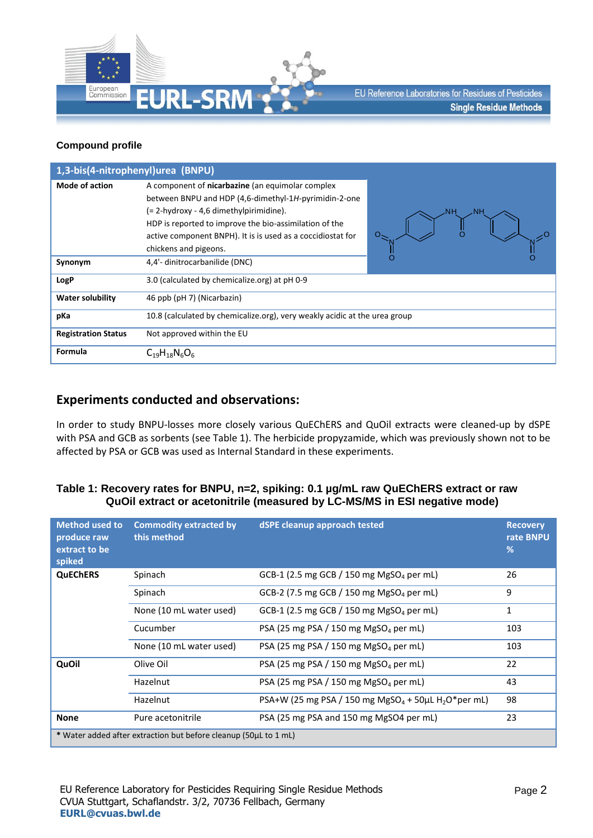

#### **Compound profile**

| 1,3-bis(4-nitrophenyl)urea (BNPU) |                                                                                                                                                                                                                                                                               |          |
|-----------------------------------|-------------------------------------------------------------------------------------------------------------------------------------------------------------------------------------------------------------------------------------------------------------------------------|----------|
| <b>Mode of action</b>             | A component of nicarbazine (an equimolar complex<br>between BNPU and HDP (4,6-dimethyl-1H-pyrimidin-2-one<br>(= 2-hydroxy - 4,6 dimethylpirimidine).<br>HDP is reported to improve the bio-assimilation of the<br>active component BNPH). It is is used as a coccidiostat for | NН<br>NΗ |
| Synonym                           | chickens and pigeons.<br>4,4'- dinitrocarbanilide (DNC)                                                                                                                                                                                                                       |          |
| LogP                              | 3.0 (calculated by chemicalize.org) at pH 0-9                                                                                                                                                                                                                                 |          |
| <b>Water solubility</b>           | 46 ppb (pH 7) (Nicarbazin)                                                                                                                                                                                                                                                    |          |
| pKa                               | 10.8 (calculated by chemicalize.org), very weakly acidic at the urea group                                                                                                                                                                                                    |          |
| <b>Registration Status</b>        | Not approved within the EU                                                                                                                                                                                                                                                    |          |
| Formula                           | $C_{19}H_{18}N_6O_6$                                                                                                                                                                                                                                                          |          |

### **Experiments conducted and observations:**

In order to study BNPU-losses more closely various QuEChERS and QuOil extracts were cleaned-up by dSPE with PSA and GCB as sorbents (see Table 1). The herbicide propyzamide, which was previously shown not to be affected by PSA or GCB was used as Internal Standard in these experiments.

#### **Table 1: Recovery rates for BNPU, n=2, spiking: 0.1 µg/mL raw QuEChERS extract or raw QuOil extract or acetonitrile (measured by LC-MS/MS in ESI negative mode)**

| <b>Method used to</b><br>produce raw<br>extract to be<br>spiked  | <b>Commodity extracted by</b><br>this method | dSPE cleanup approach tested                                                      | <b>Recovery</b><br>rate BNPU<br>% |
|------------------------------------------------------------------|----------------------------------------------|-----------------------------------------------------------------------------------|-----------------------------------|
| <b>QuEChERS</b>                                                  | Spinach                                      | GCB-1 (2.5 mg GCB / 150 mg MgSO <sub>4</sub> per mL)                              | 26                                |
|                                                                  | Spinach                                      | GCB-2 (7.5 mg GCB / 150 mg MgSO <sub>4</sub> per mL)                              | 9                                 |
|                                                                  | None (10 mL water used)                      | GCB-1 (2.5 mg GCB / 150 mg MgSO <sub>4</sub> per mL)                              | $\mathbf{1}$                      |
|                                                                  | Cucumber                                     | PSA (25 mg PSA / 150 mg MgSO <sub>4</sub> per mL)                                 | 103                               |
|                                                                  | None (10 mL water used)                      | PSA (25 mg PSA / 150 mg MgSO <sub>4</sub> per mL)                                 | 103                               |
| QuOil                                                            | Olive Oil                                    | PSA (25 mg PSA / 150 mg MgSO <sub>4</sub> per mL)                                 | 22                                |
|                                                                  | Hazelnut                                     | PSA (25 mg PSA / 150 mg MgSO <sub>4</sub> per mL)                                 | 43                                |
|                                                                  | Hazelnut                                     | PSA+W (25 mg PSA / 150 mg MgSO <sub>4</sub> + 50 $\mu$ L H <sub>2</sub> O*per mL) | 98                                |
| <b>None</b>                                                      | Pure acetonitrile                            | PSA (25 mg PSA and 150 mg MgSO4 per mL)                                           | 23                                |
| * Water added after extraction but before cleanup (50µL to 1 mL) |                                              |                                                                                   |                                   |